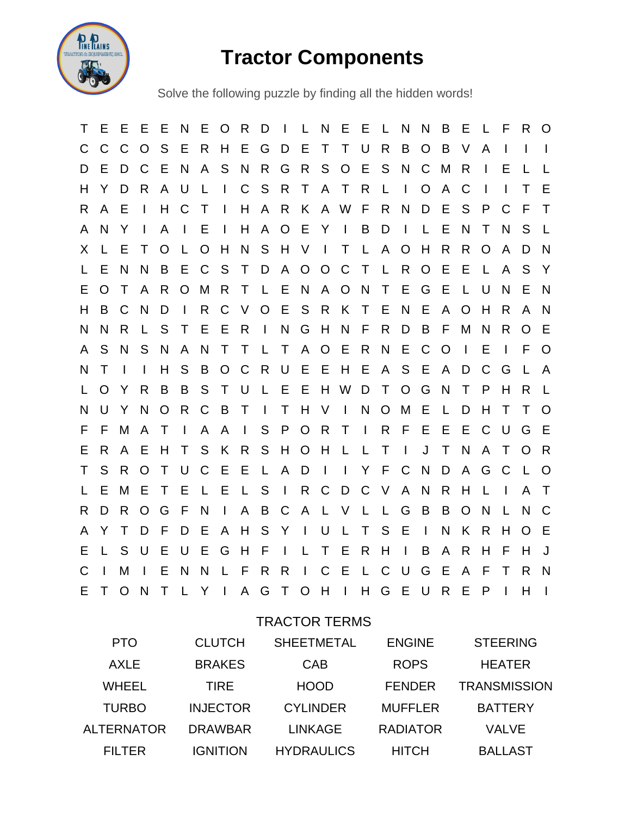

## **Tractor Components**

Solve the following puzzle by finding all the hidden words!

T E E E E N E O R D I L N E E L N N B E L F R O C C C O S E R H E G D E T T U R B O B V A I I I D E D C E N A S N R G R S O E S N C M R I E L L H Y D R A U L I C S R T A T R L I O A C I I T E R A E I H C T I H A R K A W F R N D E S P C F T A N Y I A I E I H A O E Y I B D I L E N T N S L X L E T O L O H N S H V I T L A O H R R O A D N L E N N B E C S T D A O O C T L R O E E L A S Y E O T A R O M R T L E N A O N T E G E L U N E N H B C N D I R C V O E S R K T E N E A O H R A N N N R L S T E E R I N G H N F R D B F M N R O E A S N S N A N T T L T A O E R N E C O I E I F O N T I I H S B O C R U E E H E A S E A D C G L A L O Y R B B S T U L E E H W D T O G N T P H R L N U Y N O R C B T I T H V I N O M E L D H T T O F F M A T I A A I S P O R T I R F E E E C U G E E R A E H T S K R S H O H L L T I J T N A T O R T S R O T U C E E L A D I I Y F C N D A G C L O L E M E T E L E L S I R C D C V A N R H L I A T R D R O G F N I A B C A L V L L G B B O N L N C A Y T D F D E A H S Y I U L T S E I N K R H O E E L S U E U E G H F I L T E R H I B A R H F H J C I M I E N N L F R R I C E L C U G E A F T R N E T O N T L Y I A G T O H I H G E U R E P I H I

## TRACTOR TERMS

| <b>PTO</b>        | <b>CLUTCH</b>   | <b>SHEETMETAL</b> | <b>ENGINE</b>   | <b>STEERING</b>     |
|-------------------|-----------------|-------------------|-----------------|---------------------|
| <b>AXLE</b>       | <b>BRAKES</b>   | CAB               | <b>ROPS</b>     | <b>HEATER</b>       |
| <b>WHEEL</b>      | <b>TIRE</b>     | <b>HOOD</b>       | <b>FENDER</b>   | <b>TRANSMISSION</b> |
| <b>TURBO</b>      | <b>INJECTOR</b> | <b>CYLINDER</b>   | <b>MUFFLER</b>  | <b>BATTERY</b>      |
| <b>ALTERNATOR</b> | <b>DRAWBAR</b>  | <b>LINKAGE</b>    | <b>RADIATOR</b> | <b>VALVE</b>        |
| <b>FILTER</b>     | <b>IGNITION</b> | <b>HYDRAULICS</b> | <b>HITCH</b>    | <b>BALLAST</b>      |